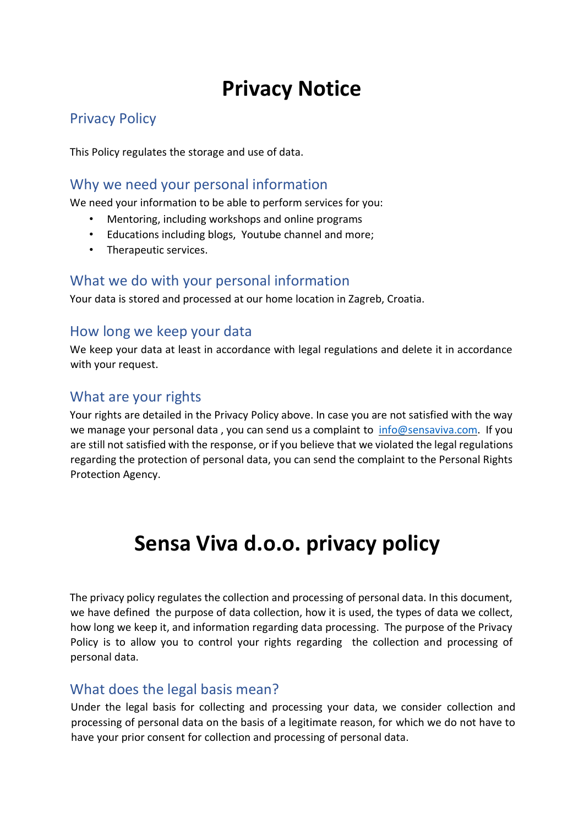# **Privacy Notice**

## Privacy Policy

This Policy regulates the storage and use of data.

#### Why we need your personal information

We need your information to be able to perform services for you:

- Mentoring, including workshops and online programs
- Educations including blogs, Youtube channel and more;
- Therapeutic services.

#### What we do with your personal information

Your data is stored and processed at our home location in Zagreb, Croatia.

#### How long we keep your data

We keep your data at least in accordance with legal regulations and delete it in accordance with your request.

#### What are your rights

Your rights are detailed in the Privacy Policy above. In case you are not satisfied with the way we manage your personal data, you can send us a complaint to info@sensaviva.com. If you are still not satisfied with the response, or if you believe that we violated the legal regulations regarding the protection of personal data, you can send the complaint to the Personal Rights Protection Agency.

# **Sensa Viva d.o.o. privacy policy**

The privacy policy regulates the collection and processing of personal data. In this document, we have defined the purpose of data collection, how it is used, the types of data we collect, how long we keep it, and information regarding data processing. The purpose of the Privacy Policy is to allow you to control your rights regarding the collection and processing of personal data.

#### What does the legal basis mean?

Under the legal basis for collecting and processing your data, we consider collection and processing of personal data on the basis of a legitimate reason, for which we do not have to have your prior consent for collection and processing of personal data.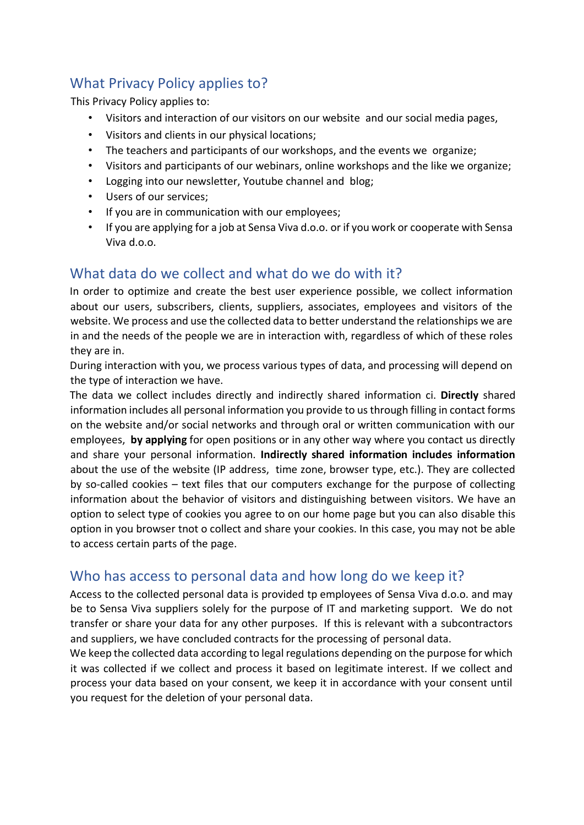## What Privacy Policy applies to?

This Privacy Policy applies to:

- Visitors and interaction of our visitors on our website and our social media pages,
- Visitors and clients in our physical locations;
- The teachers and participants of our workshops, and the events we organize;
- Visitors and participants of our webinars, online workshops and the like we organize;
- Logging into our newsletter, Youtube channel and blog;
- Users of our services;
- If you are in communication with our employees;
- If you are applying for a job at Sensa Viva d.o.o. or if you work or cooperate with Sensa Viva d.o.o.

### What data do we collect and what do we do with it?

In order to optimize and create the best user experience possible, we collect information about our users, subscribers, clients, suppliers, associates, employees and visitors of the website. We process and use the collected data to better understand the relationships we are in and the needs of the people we are in interaction with, regardless of which of these roles they are in.

During interaction with you, we process various types of data, and processing will depend on the type of interaction we have.

The data we collect includes directly and indirectly shared information ci. **Directly** shared information includes all personal information you provide to us through filling in contact forms on the website and/or social networks and through oral or written communication with our employees, **by applying** for open positions or in any other way where you contact us directly and share your personal information. **Indirectly shared information includes information** about the use of the website (IP address, time zone, browser type, etc.). They are collected by so-called cookies – text files that our computers exchange for the purpose of collecting information about the behavior of visitors and distinguishing between visitors. We have an option to select type of cookies you agree to on our home page but you can also disable this option in you browser tnot o collect and share your cookies. In this case, you may not be able to access certain parts of the page.

#### Who has access to personal data and how long do we keep it?

Access to the collected personal data is provided tp employees of Sensa Viva d.o.o. and may be to Sensa Viva suppliers solely for the purpose of IT and marketing support. We do not transfer or share your data for any other purposes. If this is relevant with a subcontractors and suppliers, we have concluded contracts for the processing of personal data.

We keep the collected data according to legal regulations depending on the purpose for which it was collected if we collect and process it based on legitimate interest. If we collect and process your data based on your consent, we keep it in accordance with your consent until you request for the deletion of your personal data.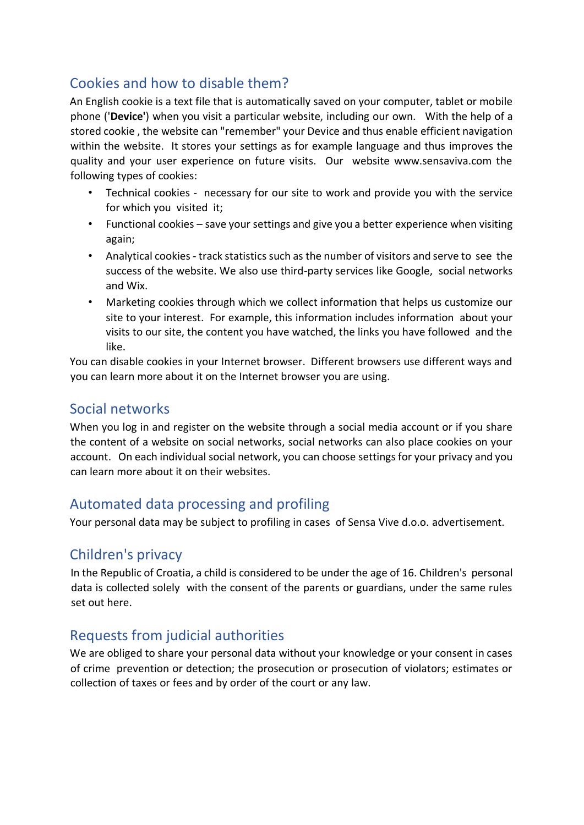## Cookies and how to disable them?

An English cookie is a text file that is automatically saved on your computer, tablet or mobile phone ('**Device'**) when you visit a particular website, including our own. With the help of a stored cookie , the website can "remember" your Device and thus enable efficient navigation within the website. It stores your settings as for example language and thus improves the quality and your user experience on future visits. Our website www.sensaviva.com the following types of cookies:

- Technical cookies necessary for our site to work and provide you with the service for which you visited it;
- Functional cookies save your settings and give you a better experience when visiting again;
- Analytical cookies track statistics such as the number of visitors and serve to see the success of the website. We also use third-party services like Google, social networks and Wix.
- Marketing cookies through which we collect information that helps us customize our site to your interest. For example, this information includes information about your visits to our site, the content you have watched, the links you have followed and the like.

You can disable cookies in your Internet browser. Different browsers use different ways and you can learn more about it on the Internet browser you are using.

#### Social networks

When you log in and register on the website through a social media account or if you share the content of a website on social networks, social networks can also place cookies on your account. On each individual social network, you can choose settings for your privacy and you can learn more about it on their websites.

## Automated data processing and profiling

Your personal data may be subject to profiling in cases of Sensa Vive d.o.o. advertisement.

## Children's privacy

In the Republic of Croatia, a child is considered to be under the age of 16. Children's personal data is collected solely with the consent of the parents or guardians, under the same rules set out here.

## Requests from judicial authorities

We are obliged to share your personal data without your knowledge or your consent in cases of crime prevention or detection; the prosecution or prosecution of violators; estimates or collection of taxes or fees and by order of the court or any law.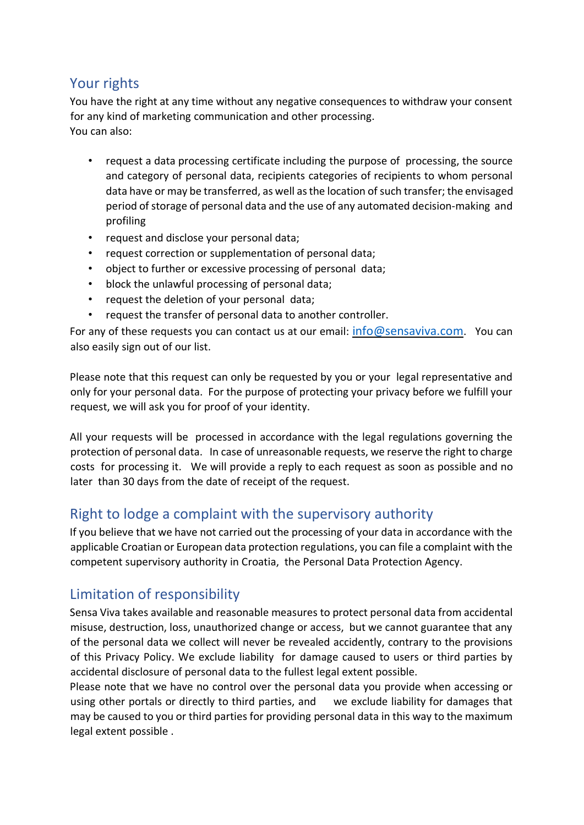## Your rights

You have the right at any time without any negative consequences to withdraw your consent for any kind of marketing communication and other processing. You can also:

- request a data processing certificate including the purpose of processing, the source and category of personal data, recipients categories of recipients to whom personal data have or may be transferred, as well as the location of such transfer; the envisaged period of storage of personal data and the use of any automated decision-making and profiling
- request and disclose your personal data;
- request correction or supplementation of personal data;
- object to further or excessive processing of personal data;
- block the unlawful processing of personal data;
- request the deletion of your personal data;
- request the transfer of personal data to another controller.

For any of these requests you can contact us at our email: info@sensaviva.com. You can also easily sign out of our list.

Please note that this request can only be requested by you or your legal representative and only for your personal data. For the purpose of protecting your privacy before we fulfill your request, we will ask you for proof of your identity.

All your requests will be processed in accordance with the legal regulations governing the protection of personal data. In case of unreasonable requests, we reserve the right to charge costs for processing it. We will provide a reply to each request as soon as possible and no later than 30 days from the date of receipt of the request.

#### Right to lodge a complaint with the supervisory authority

If you believe that we have not carried out the processing of your data in accordance with the applicable Croatian or European data protection regulations, you can file a complaint with the competent supervisory authority in Croatia, the Personal Data Protection Agency.

## Limitation of responsibility

Sensa Viva takes available and reasonable measures to protect personal data from accidental misuse, destruction, loss, unauthorized change or access, but we cannot guarantee that any of the personal data we collect will never be revealed accidently, contrary to the provisions of this Privacy Policy. We exclude liability for damage caused to users or third parties by accidental disclosure of personal data to the fullest legal extent possible.

Please note that we have no control over the personal data you provide when accessing or using other portals or directly to third parties, and we exclude liability for damages that may be caused to you or third parties for providing personal data in this way to the maximum legal extent possible .